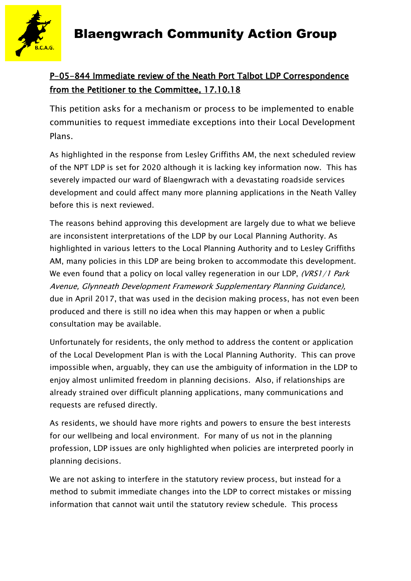

### P-05-844 Immediate review of the Neath Port Talbot LDP Correspondence from the Petitioner to the Committee, 17.10.18

This petition asks for a mechanism or process to be implemented to enable communities to request immediate exceptions into their Local Development Plans.

As highlighted in the response from Lesley Griffiths AM, the next scheduled review of the NPT LDP is set for 2020 although it is lacking key information now. This has severely impacted our ward of Blaengwrach with a devastating roadside services development and could affect many more planning applications in the Neath Valley before this is next reviewed.

The reasons behind approving this development are largely due to what we believe are inconsistent interpretations of the LDP by our Local Planning Authority. As highlighted in various letters to the Local Planning Authority and to Lesley Griffiths AM, many policies in this LDP are being broken to accommodate this development. We even found that a policy on local valley regeneration in our LDP, (VRS1/1 Park Avenue, Glynneath Development Framework Supplementary Planning Guidance), due in April 2017, that was used in the decision making process, has not even been produced and there is still no idea when this may happen or when a public consultation may be available.

Unfortunately for residents, the only method to address the content or application of the Local Development Plan is with the Local Planning Authority. This can prove impossible when, arguably, they can use the ambiguity of information in the LDP to enjoy almost unlimited freedom in planning decisions. Also, if relationships are already strained over difficult planning applications, many communications and requests are refused directly.

As residents, we should have more rights and powers to ensure the best interests for our wellbeing and local environment. For many of us not in the planning profession, LDP issues are only highlighted when policies are interpreted poorly in planning decisions.

We are not asking to interfere in the statutory review process, but instead for a method to submit immediate changes into the LDP to correct mistakes or missing information that cannot wait until the statutory review schedule. This process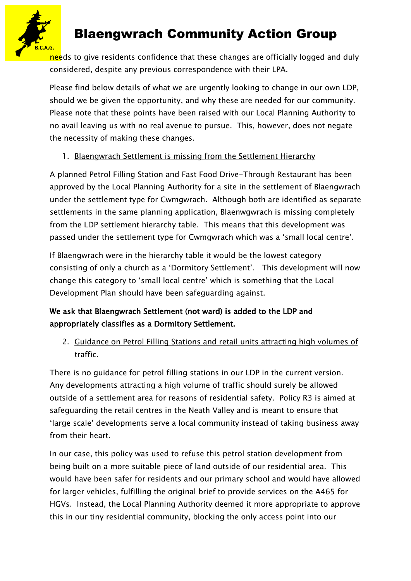

# Blaengwrach Community Action Group

needs to give residents confidence that these changes are officially logged and duly considered, despite any previous correspondence with their LPA.

Please find below details of what we are urgently looking to change in our own LDP, should we be given the opportunity, and why these are needed for our community. Please note that these points have been raised with our Local Planning Authority to no avail leaving us with no real avenue to pursue. This, however, does not negate the necessity of making these changes.

1. Blaengwrach Settlement is missing from the Settlement Hierarchy

A planned Petrol Filling Station and Fast Food Drive-Through Restaurant has been approved by the Local Planning Authority for a site in the settlement of Blaengwrach under the settlement type for Cwmgwrach. Although both are identified as separate settlements in the same planning application, Blaenwgwrach is missing completely from the LDP settlement hierarchy table. This means that this development was passed under the settlement type for Cwmgwrach which was a 'small local centre'.

If Blaengwrach were in the hierarchy table it would be the lowest category consisting of only a church as a 'Dormitory Settlement'. This development will now change this category to 'small local centre' which is something that the Local Development Plan should have been safeguarding against.

### We ask that Blaengwrach Settlement (not ward) is added to the LDP and appropriately classifies as a Dormitory Settlement.

2. Guidance on Petrol Filling Stations and retail units attracting high volumes of traffic.

There is no guidance for petrol filling stations in our LDP in the current version. Any developments attracting a high volume of traffic should surely be allowed outside of a settlement area for reasons of residential safety. Policy R3 is aimed at safeguarding the retail centres in the Neath Valley and is meant to ensure that 'large scale' developments serve a local community instead of taking business away from their heart.

In our case, this policy was used to refuse this petrol station development from being built on a more suitable piece of land outside of our residential area. This would have been safer for residents and our primary school and would have allowed for larger vehicles, fulfilling the original brief to provide services on the A465 for HGVs. Instead, the Local Planning Authority deemed it more appropriate to approve this in our tiny residential community, blocking the only access point into our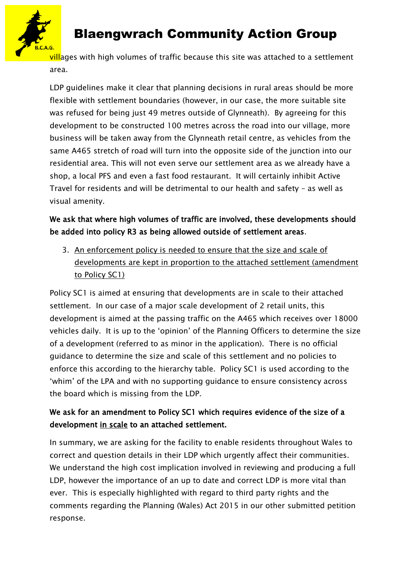

## Blaengwrach Community Action Group

villages with high volumes of traffic because this site was attached to a settlement area.

LDP guidelines make it clear that planning decisions in rural areas should be more flexible with settlement boundaries (however, in our case, the more suitable site was refused for being just 49 metres outside of Glynneath). By agreeing for this development to be constructed 100 metres across the road into our village, more business will be taken away from the Glynneath retail centre, as vehicles from the same A465 stretch of road will turn into the opposite side of the junction into our residential area. This will not even serve our settlement area as we already have a shop, a local PFS and even a fast food restaurant. It will certainly inhibit Active Travel for residents and will be detrimental to our health and safety – as well as visual amenity.

#### We ask that where high volumes of traffic are involved, these developments should be added into policy R3 as being allowed outside of settlement areas.

3. An enforcement policy is needed to ensure that the size and scale of developments are kept in proportion to the attached settlement (amendment to Policy SC1)

Policy SC1 is aimed at ensuring that developments are in scale to their attached settlement. In our case of a major scale development of 2 retail units, this development is aimed at the passing traffic on the A465 which receives over 18000 vehicles daily. It is up to the 'opinion' of the Planning Officers to determine the size of a development (referred to as minor in the application). There is no official guidance to determine the size and scale of this settlement and no policies to enforce this according to the hierarchy table. Policy SC1 is used according to the 'whim' of the LPA and with no supporting guidance to ensure consistency across the board which is missing from the LDP.

#### We ask for an amendment to Policy SC1 which requires evidence of the size of a development in scale to an attached settlement.

In summary, we are asking for the facility to enable residents throughout Wales to correct and question details in their LDP which urgently affect their communities. We understand the high cost implication involved in reviewing and producing a full LDP, however the importance of an up to date and correct LDP is more vital than ever. This is especially highlighted with regard to third party rights and the comments regarding the Planning (Wales) Act 2015 in our other submitted petition response.